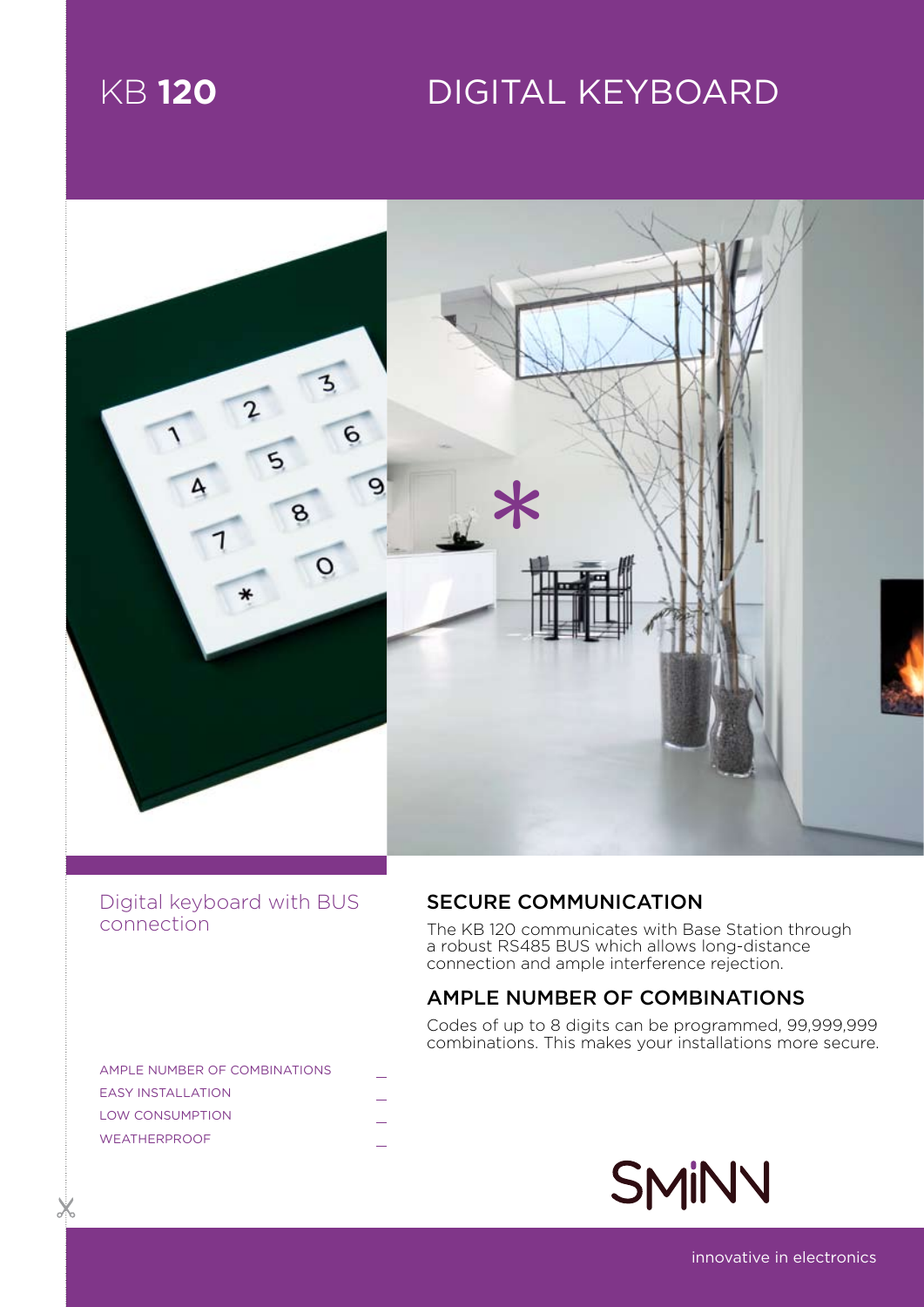# KB **120** Digital keyboard



# Digital keyboard with BUS connection

# SECURE COMMUNICATION

The KB 120 communicates with Base Station through a robust RS485 BUS which allows long-distance connection and ample interference rejection.

# AMPLE NUMBER OF COMBINATIONS

Codes of up to 8 digits can be programmed, 99,999,999 combinations. This makes your installations more secure.

| AMPLE NUMBER OF COMBINATIONS |  |
|------------------------------|--|
| <b>FASY INSTALL ATION</b>    |  |
| <b>LOW CONSUMPTION</b>       |  |
| <b>WEATHERPROOF</b>          |  |
|                              |  |